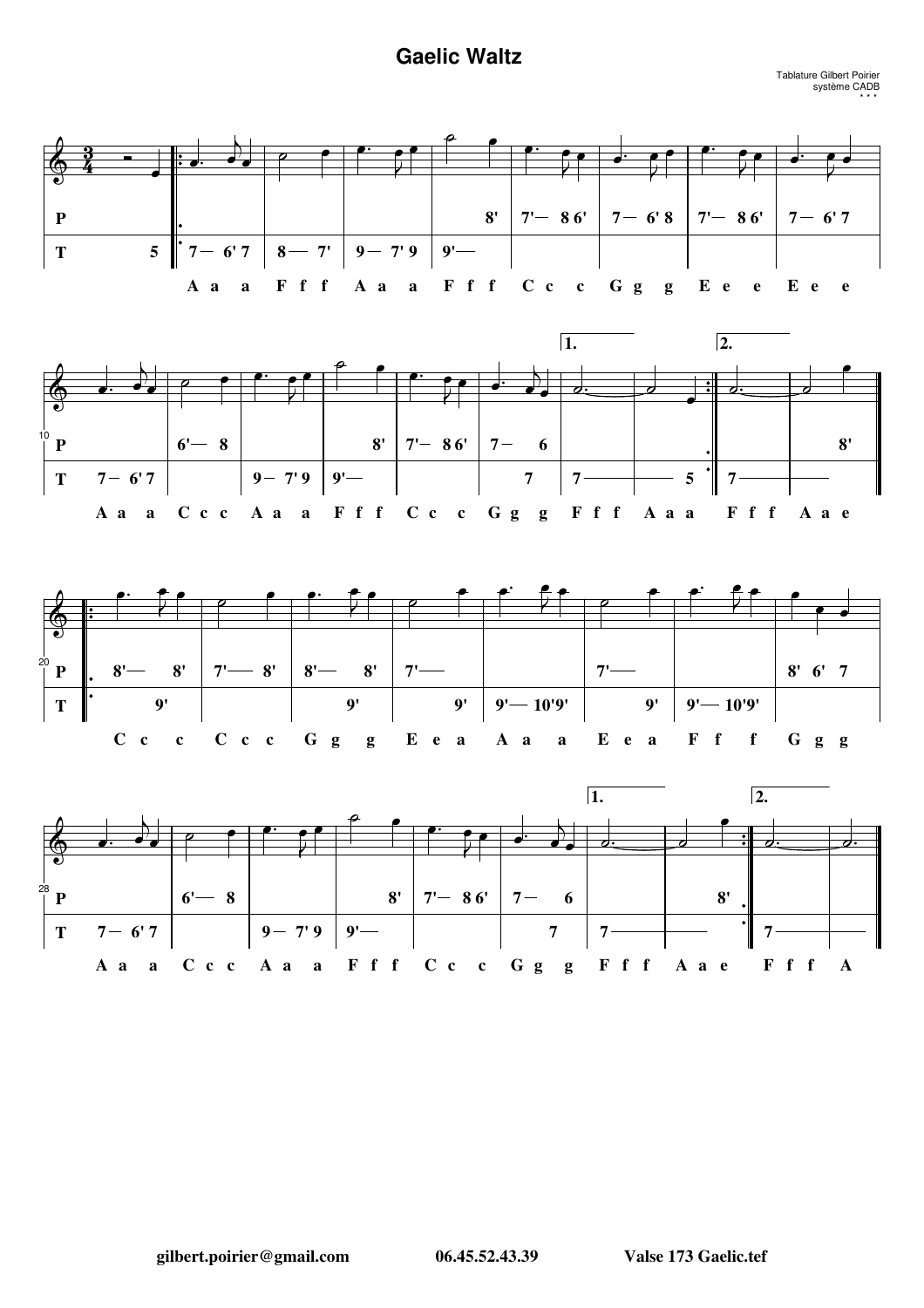## **Gaelic Waltz**